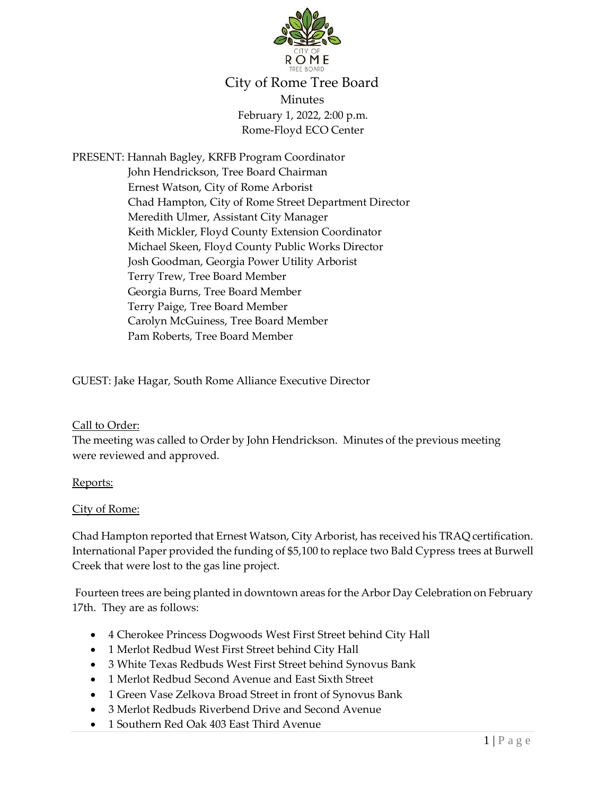

# City of Rome Tree Board Minutes February 1, 2022, 2:00 p.m. Rome-Floyd ECO Center

PRESENT: Hannah Bagley, KRFB Program Coordinator John Hendrickson, Tree Board Chairman Ernest Watson, City of Rome Arborist Chad Hampton, City of Rome Street Department Director Meredith Ulmer, Assistant City Manager Keith Mickler, Floyd County Extension Coordinator Michael Skeen, Floyd County Public Works Director Josh Goodman, Georgia Power Utility Arborist Terry Trew, Tree Board Member Georgia Burns, Tree Board Member Terry Paige, Tree Board Member Carolyn McGuiness, Tree Board Member Pam Roberts, Tree Board Member

GUEST: Jake Hagar, South Rome Alliance Executive Director

## Call to Order:

The meeting was called to Order by John Hendrickson. Minutes of the previous meeting were reviewed and approved.

## Reports:

#### City of Rome:

Chad Hampton reported that Ernest Watson, City Arborist, has received his TRAQ certification. International Paper provided the funding of \$5,100 to replace two Bald Cypress trees at Burwell Creek that were lost to the gas line project.

Fourteen trees are being planted in downtown areas for the Arbor Day Celebration on February 17th. They are as follows:

- 4 Cherokee Princess Dogwoods West First Street behind City Hall
- 1 Merlot Redbud West First Street behind City Hall
- 3 White Texas Redbuds West First Street behind Synovus Bank
- 1 Merlot Redbud Second Avenue and East Sixth Street
- 1 Green Vase Zelkova Broad Street in front of Synovus Bank
- 3 Merlot Redbuds Riverbend Drive and Second Avenue
- 1 Southern Red Oak 403 East Third Avenue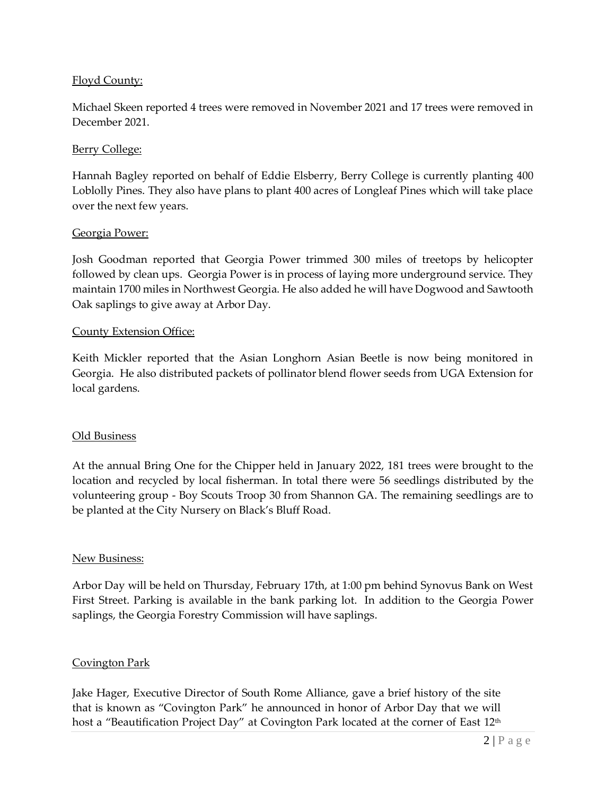### Floyd County:

Michael Skeen reported 4 trees were removed in November 2021 and 17 trees were removed in December 2021.

#### Berry College:

Hannah Bagley reported on behalf of Eddie Elsberry, Berry College is currently planting 400 Loblolly Pines. They also have plans to plant 400 acres of Longleaf Pines which will take place over the next few years.

#### Georgia Power:

Josh Goodman reported that Georgia Power trimmed 300 miles of treetops by helicopter followed by clean ups. Georgia Power is in process of laying more underground service. They maintain 1700 miles in Northwest Georgia. He also added he will have Dogwood and Sawtooth Oak saplings to give away at Arbor Day.

#### County Extension Office:

Keith Mickler reported that the Asian Longhorn Asian Beetle is now being monitored in Georgia. He also distributed packets of pollinator blend flower seeds from UGA Extension for local gardens.

#### Old Business

At the annual Bring One for the Chipper held in January 2022, 181 trees were brought to the location and recycled by local fisherman. In total there were 56 seedlings distributed by the volunteering group - Boy Scouts Troop 30 from Shannon GA. The remaining seedlings are to be planted at the City Nursery on Black's Bluff Road.

## New Business:

Arbor Day will be held on Thursday, February 17th, at 1:00 pm behind Synovus Bank on West First Street. Parking is available in the bank parking lot. In addition to the Georgia Power saplings, the Georgia Forestry Commission will have saplings.

#### Covington Park

Jake Hager, Executive Director of South Rome Alliance, gave a brief history of the site that is known as "Covington Park" he announced in honor of Arbor Day that we will host a "Beautification Project Day" at Covington Park located at the corner of East 12<sup>th</sup>